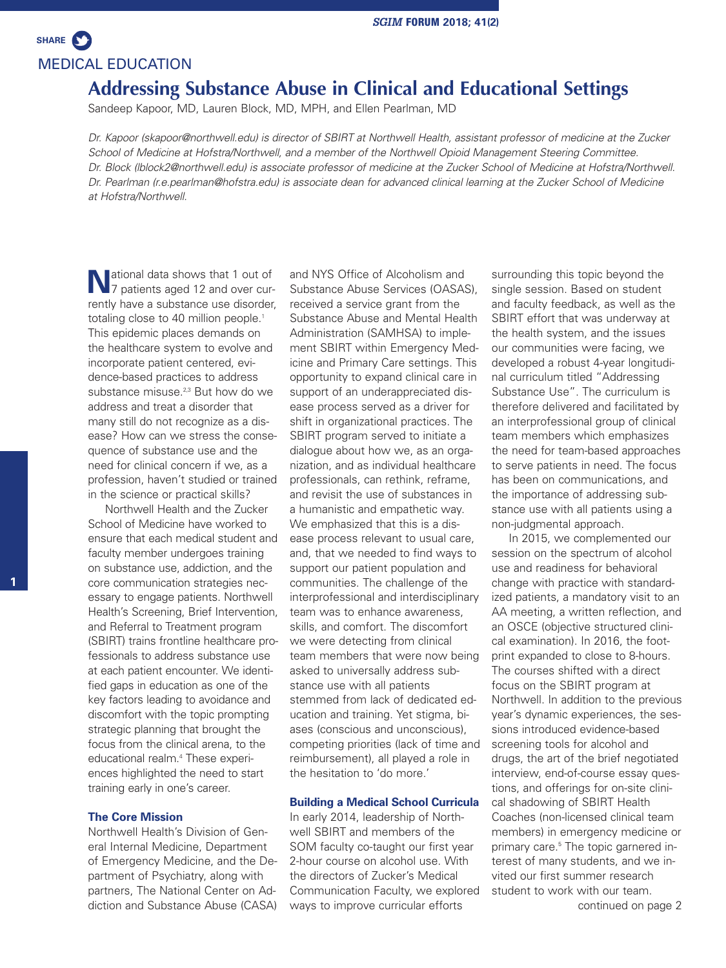MEDICAL EDUCATION **SHARE**

# **Addressing Substance Abuse in Clinical and Educational Settings**

Sandeep Kapoor, MD, Lauren Block, MD, MPH, and Ellen Pearlman, MD

Dr. Kapoor (skapoor@northwell.edu) is director of SBIRT at Northwell Health, assistant professor of medicine at the Zucker *School of Medicine at Hofstra/Northwell, and a member of the Northwell Opioid Management Steering Committee.* Dr. Block (Iblock2@northwell.edu) is associate professor of medicine at the Zucker School of Medicine at Hofstra/Northwell. Dr. Pearlman (r.e.pearlman@hofstra.edu) is associate dean for advanced clinical learning at the Zucker School of Medicine *at Hofstra/Northwell.*

National data shows that 1 out of 7 patients aged 12 and over currently have a substance use disorder, totaling close to 40 million people. 1 This epidemic places demands on the healthcare system to evolve and incorporate patient centered, evidence-based practices to address substance misuse.<sup>2,3</sup> But how do we address and treat a disorder that many still do not recognize as a disease? How can we stress the consequence of substance use and the need for clinical concern if we, as a profession, haven't studied or trained in the science or practical skills?

Northwell Health and the Zucker School of Medicine have worked to ensure that each medical student and faculty member undergoes training on substance use, addiction, and the core communication strategies necessary to engage patients. Northwell Health's Screening, Brief Intervention, and Referral to Treatment program (SBIRT) trains frontline healthcare professionals to address substance use at each patient encounter. We identified gaps in education as one of the key factors leading to avoidance and discomfort with the topic prompting strategic planning that brought the focus from the clinical arena, to the educational realm. <sup>4</sup> These experiences highlighted the need to start training early in one's career.

## **The Core Mission**

Northwell Health's Division of General Internal Medicine, Department of Emergency Medicine, and the Department of Psychiatry, along with partners, The National Center on Addiction and Substance Abuse (CASA)

and NYS Office of Alcoholism and Substance Abuse Services (OASAS), received a service grant from the Substance Abuse and Mental Health Administration (SAMHSA) to implement SBIRT within Emergency Medicine and Primary Care settings. This opportunity to expand clinical care in support of an underappreciated disease process served as a driver for shift in organizational practices. The SBIRT program served to initiate a dialogue about how we, as an organization, and as individual healthcare professionals, can rethink, reframe, and revisit the use of substances in a humanistic and empathetic way. We emphasized that this is a disease process relevant to usual care, and, that we needed to find ways to support our patient population and communities. The challenge of the interprofessional and interdisciplinary team was to enhance awareness, skills, and comfort. The discomfort we were detecting from clinical team members that were now being asked to universally address substance use with all patients stemmed from lack of dedicated education and training. Yet stigma, biases (conscious and unconscious), competing priorities (lack of time and reimbursement), all played a role in the hesitation to 'do more.'

#### **Building a Medical School Curricula**

In early 2014, leadership of Northwell SBIRT and members of the SOM faculty co-taught our first year 2-hour course on alcohol use. With the directors of Zucker's Medical Communication Faculty, we explored ways to improve curricular efforts

surrounding this topic beyond the single session. Based on student and faculty feedback, as well as the SBIRT effort that was underway at the health system, and the issues our communities were facing, we developed a robust 4-year longitudinal curriculum titled "Addressing Substance Use". The curriculum is therefore delivered and facilitated by an interprofessional group of clinical team members which emphasizes the need for team-based approaches to serve patients in need. The focus has been on communications, and the importance of addressing substance use with all patients using a non-judgmental approach.

In 2015, we complemented our session on the spectrum of alcohol use and readiness for behavioral change with practice with standardized patients, a mandatory visit to an AA meeting, a written reflection, and an OSCE (objective structured clinical examination). In 2016, the footprint expanded to close to 8-hours. The courses shifted with a direct focus on the SBIRT program at Northwell. In addition to the previous year's dynamic experiences, the sessions introduced evidence-based screening tools for alcohol and drugs, the art of the brief negotiated interview, end-of-course essay questions, and offerings for on-site clinical shadowing of SBIRT Health Coaches (non-licensed clinical team members) in emergency medicine or primary care. <sup>5</sup> The topic garnered interest of many students, and we invited our first summer research student to work with our team.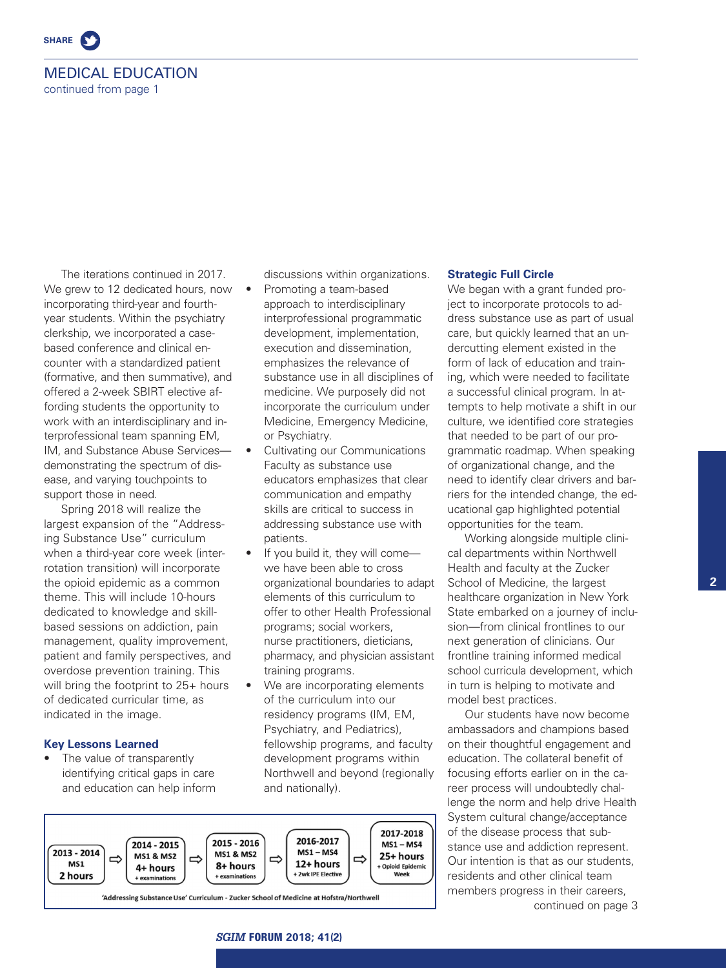

# MEDICAL EDUCATION continued from page 1

The iterations continued in 2017. We grew to 12 dedicated hours, now incorporating third-year and fourthyear students. Within the psychiatry clerkship, we incorporated a casebased conference and clinical encounter with a standardized patient (formative, and then summative), and offered a 2-week SBIRT elective affording students the opportunity to work with an interdisciplinary and interprofessional team spanning EM, IM, and Substance Abuse Services demonstrating the spectrum of disease, and varying touchpoints to support those in need.

Spring 2018 will realize the largest expansion of the "Addressing Substance Use" curriculum when a third-year core week (interrotation transition) will incorporate the opioid epidemic as a common theme. This will include 10-hours dedicated to knowledge and skillbased sessions on addiction, pain management, quality improvement, patient and family perspectives, and overdose prevention training. This will bring the footprint to 25+ hours of dedicated curricular time, as indicated in the image.

# **Key Lessons Learned**

The value of transparently identifying critical gaps in care and education can help inform discussions within organizations.

- Promoting a team-based approach to interdisciplinary interprofessional programmatic development, implementation, execution and dissemination, emphasizes the relevance of substance use in all disciplines of medicine. We purposely did not incorporate the curriculum under Medicine, Emergency Medicine, or Psychiatry.
- Cultivating our Communications Faculty as substance use educators emphasizes that clear communication and empathy skills are critical to success in addressing substance use with patients.
- If you build it, they will come we have been able to cross organizational boundaries to adapt elements of this curriculum to offer to other Health Professional programs; social workers, nurse practitioners, dieticians, pharmacy, and physician assistant training programs.
- We are incorporating elements of the curriculum into our residency programs (IM, EM, Psychiatry, and Pediatrics), fellowship programs, and faculty development programs within Northwell and beyond (regionally and nationally).



## **Strategic Full Circle**

We began with a grant funded project to incorporate protocols to address substance use as part of usual care, but quickly learned that an undercutting element existed in the form of lack of education and training, which were needed to facilitate a successful clinical program. In attempts to help motivate a shift in our culture, we identified core strategies that needed to be part of our programmatic roadmap. When speaking of organizational change, and the need to identify clear drivers and barriers for the intended change, the educational gap highlighted potential opportunities for the team.

Working alongside multiple clinical departments within Northwell Health and faculty at the Zucker School of Medicine, the largest healthcare organization in New York State embarked on a journey of inclusion—from clinical frontlines to our next generation of clinicians. Our frontline training informed medical school curricula development, which in turn is helping to motivate and model best practices.

Our students have now become ambassadors and champions based on their thoughtful engagement and education. The collateral benefit of focusing efforts earlier on in the career process will undoubtedly challenge the norm and help drive Health System cultural change/acceptance of the disease process that substance use and addiction represent. Our intention is that as our students, residents and other clinical team members progress in their careers. continued on page 3

**2**

*SGIM* **FORUM 2018; 41(2)**